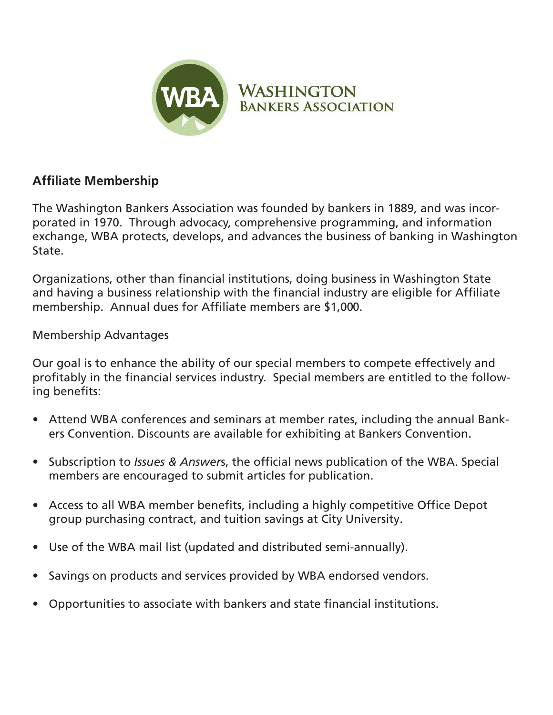

## **WASHINGTON BANKERS ASSOCIATION**

## **Affiliate Membership**

The Washington Bankers Association was founded by bankers in 1889, and was incorporated in 1970. Through advocacy, comprehensive programming, and information exchange, WBA protects, develops, and advances the business of banking in Washington State.

Organizations, other than financial institutions, doing business in Washington State and having a business relationship with the financial industry are eligible for Affiliate membership. Annual dues for Affiliate members are \$1,000.

Membership Advantages

Our goal is to enhance the ability of our special members to compete effectively and profitably in the financial services industry. Special members are entitled to the following benefits:

- Attend WBA conferences and seminars at member rates, including the annual Bankers Convention. Discounts are available for exhibiting at Bankers Convention.
- Subscription to *Issues & Answers*, the official news publication of the WBA. Special members are encouraged to submit articles for publication.
- Access to all WBA member benefits, including a highly competitive Office Depot group purchasing contract, and tuition savings at City University.
- Use of the WBA mail list (updated and distributed semi-annually).
- Savings on products and services provided by WBA endorsed vendors.
- Opportunities to associate with bankers and state financial institutions.